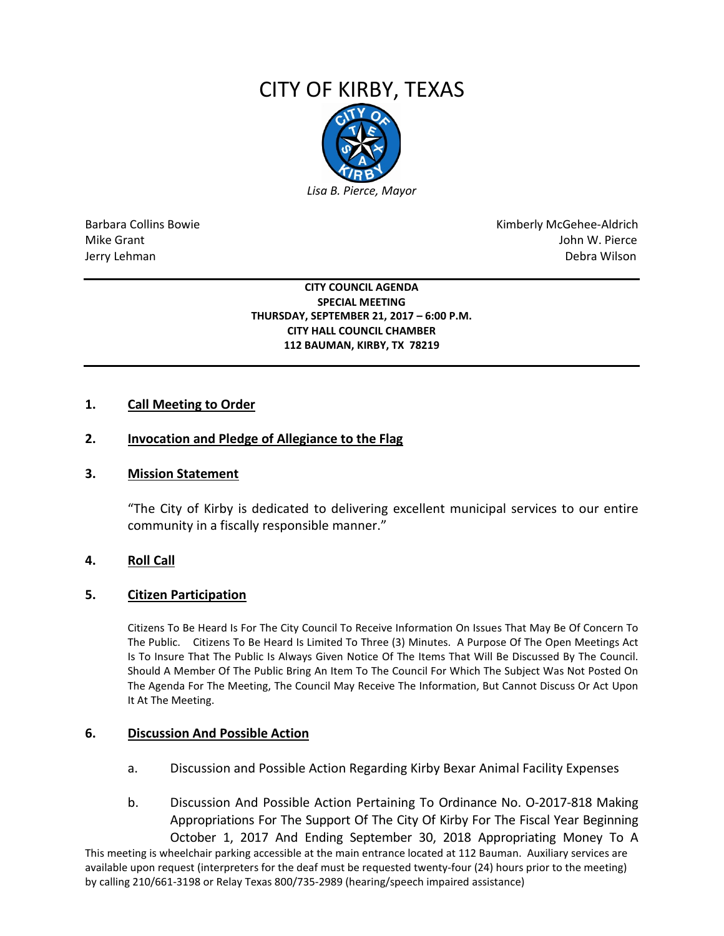# CITY OF KIRBY, TEXAS



Barbara Collins Bowie **Kimberly McGehee-Aldrich** Mike Grant John W. Pierce Jerry Lehman Debra Wilson

> **CITY COUNCIL AGENDA SPECIAL MEETING THURSDAY, SEPTEMBER 21, 2017 – 6:00 P.M. CITY HALL COUNCIL CHAMBER 112 BAUMAN, KIRBY, TX 78219**

## **1. Call Meeting to Order**

## **2. Invocation and Pledge of Allegiance to the Flag**

#### **3. Mission Statement**

"The City of Kirby is dedicated to delivering excellent municipal services to our entire community in a fiscally responsible manner."

#### **4. Roll Call**

#### **5. Citizen Participation**

Citizens To Be Heard Is For The City Council To Receive Information On Issues That May Be Of Concern To The Public. Citizens To Be Heard Is Limited To Three (3) Minutes. A Purpose Of The Open Meetings Act Is To Insure That The Public Is Always Given Notice Of The Items That Will Be Discussed By The Council. Should A Member Of The Public Bring An Item To The Council For Which The Subject Was Not Posted On The Agenda For The Meeting, The Council May Receive The Information, But Cannot Discuss Or Act Upon It At The Meeting.

#### **6. Discussion And Possible Action**

- a. Discussion and Possible Action Regarding Kirby Bexar Animal Facility Expenses
- b. Discussion And Possible Action Pertaining To Ordinance No. O-2017-818 Making Appropriations For The Support Of The City Of Kirby For The Fiscal Year Beginning October 1, 2017 And Ending September 30, 2018 Appropriating Money To A

This meeting is wheelchair parking accessible at the main entrance located at 112 Bauman. Auxiliary services are available upon request (interpreters for the deaf must be requested twenty-four (24) hours prior to the meeting) by calling 210/661-3198 or Relay Texas 800/735-2989 (hearing/speech impaired assistance)